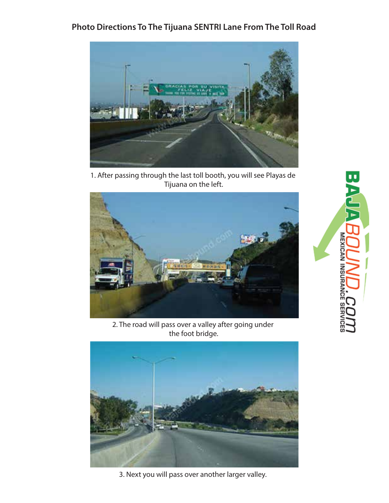## **Photo Directions To The Tijuana SENTRI Lane From The Toll Road**



1. After passing through the last toll booth, you will see Playas de Tijuana on the left.



2. The road will pass over a valley after going under the foot bridge.



3. Next you will pass over another larger valley.

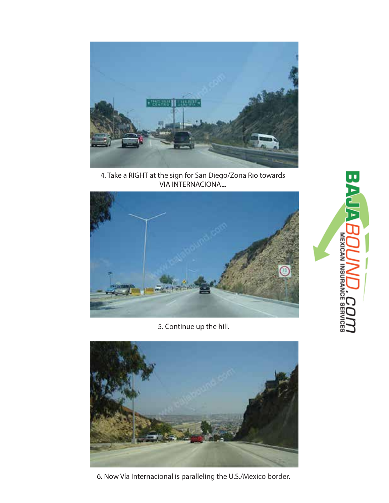

4. Take a RIGHT at the sign for San Diego/Zona Rio towards VIA INTERNACIONAL.



5. Continue up the hill.



6. Now Vía Internacional is paralleling the U.S./Mexico border.

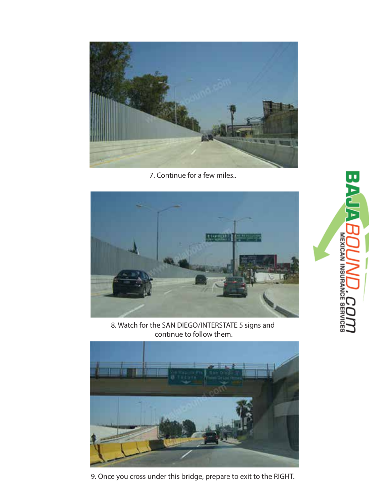

7. Continue for a few miles..



8. Watch for the SAN DIEGO/INTERSTATE 5 signs and continue to follow them.



9. Once you cross under this bridge, prepare to exit to the RIGHT.

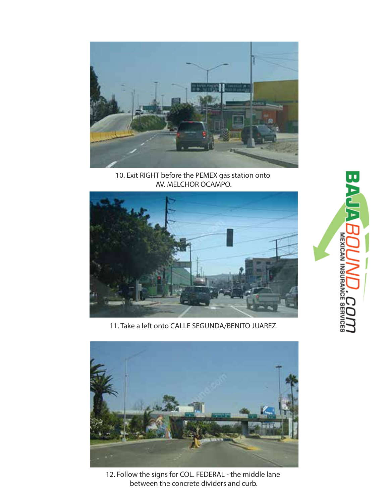

10. Exit RIGHT before the PEMEX gas station onto AV. MELCHOR OCAMPO.



11. Take a left onto CALLE SEGUNDA/BENITO JUAREZ.



12. Follow the signs for COL. FEDERAL - the middle lane between the concrete dividers and curb.

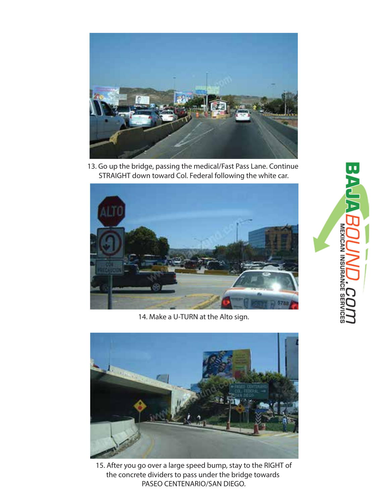

13. Go up the bridge, passing the medical/Fast Pass Lane. Continue STRAIGHT down toward Col. Federal following the white car.



14. Make a U-TURN at the Alto sign.



15. After you go over a large speed bump, stay to the RIGHT of the concrete dividers to pass under the bridge towards PASEO CENTENARIO/SAN DIEGO.

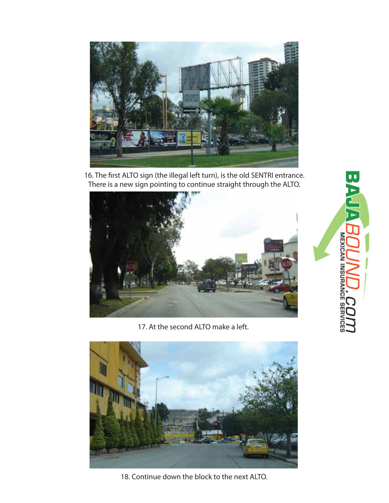

16. The first ALTO sign (the illegal left turn), is the old SENTRI entrance. There is a new sign pointing to continue straight through the ALTO.



17. At the second ALTO make a left.





**BAJ**  $\triangleright$ **MEXICAN INSURANCE**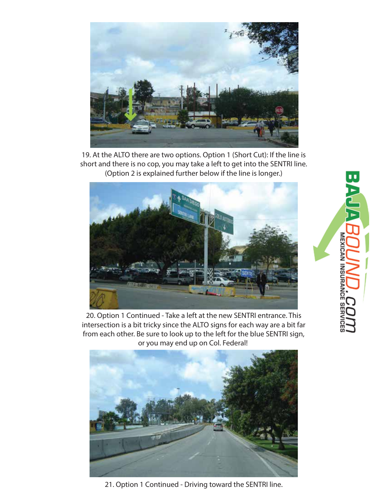

19. At the ALTO there are two options. Option 1 (Short Cut): If the line is short and there is no cop, you may take a left to get into the SENTRI line. (Option 2 is explained further below if the line is longer.)



20. Option 1 Continued - Take a left at the new SENTRI entrance. This intersection is a bit tricky since the ALTO signs for each way are a bit far from each other. Be sure to look up to the left for the blue SENTRI sign, or you may end up on Col. Federal!



21. Option 1 Continued - Driving toward the SENTRI line.

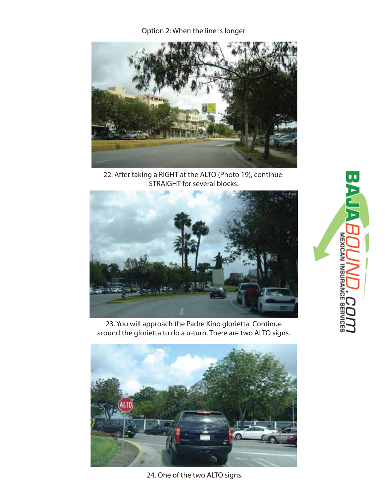Option 2: When the line is longer



22. After taking a RIGHT at the ALTO (Photo 19), continue STRAIGHT for several blocks.



23. You will approach the Padre Kino glorietta. Continue around the glorietta to do a u-turn. There are two ALTO signs.



24. One of the two ALTO signs.